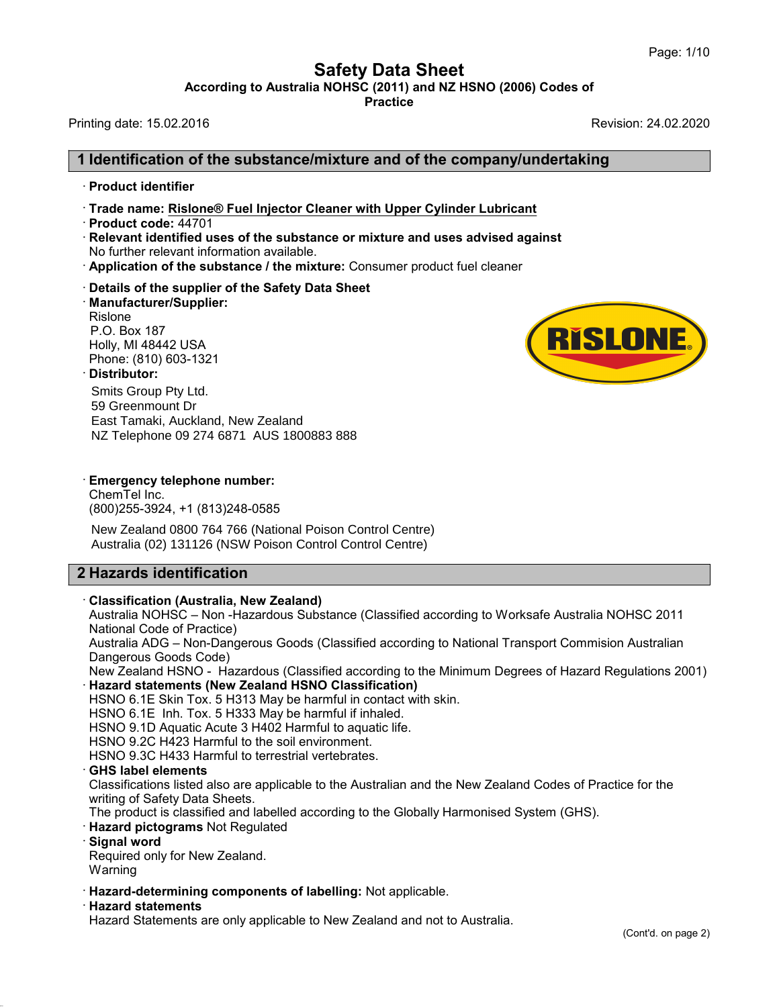**Safety Data Sheet<br>
A NOHSC (2011) and NZ HSNO (2006) Cod<br>
Practice** Page: 1/10<br>**According to Australia NOHSC (2011) and NZ HSNO (2006) Codes of**<br>Practice<br>Revision: 24.02.2020 Page: 1/10<br> **Safety Data Sheet**<br>
According to Australia NOHSC (2011) and NZ HSNO (2006) Codes of<br>
Printing date: 15.02.2016<br>
Revision: 24.02.2020

**Practice**

## **1 Identification of the substance/mixture and of the company/undertaking** From the state: 15.02.2016<br>
■ **Identification of the state:**<br>
Product identifier<br>
Trade name: <u>Rislone® Fue</u> **Example 1 Identification of the substance/mixture and of the company/undertak∗**<br>• Product identifier<br>• Trade name: <u>Rislone® Fuel Injector Cleaner with Upper Cylinder Lubricant<br>• Relevant identified uses of the substance</u>

- 
- 
- 
- **I Identification of the subs<br>
 Product identifier<br>
 Trade name: <u>Rislone® Fuel Ir</u><br>
 Product code: 44701<br>
 Relevant identified uses of th<br>
No further relevant information** • Product identifier<br>• Trade name: <u>Rislone® Fuel Injector Cleaner with Upper Cylinder Lubricant</u><br>• Product code: 44701<br>• Relevant identified uses of the substance or mixture and uses advised aga<br>• No further relevant info No Further Frade name: Rislone® Fuel Injector Cleaner with Upper Cylinder Lubricant<br>
Froduct code: 44701<br> **Relevant identified uses of the substance or mixture and uses advised against**<br>
No further relevant information av **Relevant identified uses of the substance or mixture and uses advised against**
- 
- Details of the supplier of the Safety Data Sheet
- · **Manufacturer/Supplier:** Rislone<br>P.O. Box 187 • Application of the substance / the mixture: Consumer product fuel cleaner<br>• Details of the supplier of the Safety Data Sheet<br>• Manufacturer/Supplier:<br>Rislone<br>P.O. Box 187<br>Holly, MI 48442 USA<br>Phone: (810) 603-1321 Details of the supplier of the S<br>Manufacturer/Supplier:<br>Rislone<br>P.O. Box 187<br>Holly, MI 48442 USA<br>Phone: (810) 603-1321<br>Distributor:<br>Quite Our District

### · **Distributor:**

Smits Group Pty Ltd. 59 Greenmount Dr East Tamaki, Auckland, New Zealand



## NZ Telephone 09 274 6871 AUS 1800883 888<br> **Emergency telephone number:**<br>
ChemTel Inc.

(800) 255-3924, +1 (813) 248-0585

NZ Telephone 09 274 6871 AUS 1800883 888<br> **Emergency telephone number:**<br>
ChemTel Inc.<br>(800)255-3924, +1 (813)248-0585<br>
New Zealand 0800 764 766 (National Poison Control Centre) ChemTel Inc.<br>
(800)255-3924, +1 (813)248-0585<br>
New Zealand 0800 764 766 (National Proportional Proportional Proportional Proportional Proportion<br> **2 Hazards identification<br>
Classification (Australia, New Zealand Australia)** Australia (02) 131126 (NSW Poison Control Control Centre)

New Zealand 0800 764 766 (National Poison Contring Australia (02) 131126 (NSW Poison Control Control<br> **Property Classification**<br> **Classification (Australia, New Zealand)**<br>
Australia NOHSC – Non -Hazardous Substance (Cl<br>
Na Australia (02) 131126 (NSW Poison Control Control Centre)<br> **Hazards identification**<br> **Classification (Australia, New Zealand)**<br>Australia NOHSC – Non -Hazardous Substance (Classified according to Worksafe Australia NOHSC 20 **Hazards identification<br>Classification (Australia, New Zea<br>Australia NOHSC – Non -Hazardous<br>National Code of Practice)<br>Australia ADG – Non-Dangerous Go<br>Dangerous Goods Code)** 

**Hazards identification**<br>Classification (Australia, New Zealand)<br>Australia NOHSC – Non-Hazardous Substance (Classified according to Worksafe Australia NOHSC 2011<br>National Code of Practice)<br>Australia ADG – Non-Dangerous Goo **Classification (Australia, New Zeala**<br>Australia NOHSC – Non -Hazardous S<br>National Code of Practice)<br>Australia ADG – Non-Dangerous Good<br>Dangerous Goods Code)<br>New Zealand HSNO - Hazardous (Cli<br>Hazard statements (New Zealand Classification (Australia, New Zealand)<br>Australia NOHSC – Non -Hazardous Substance (Classified according to Worksafe Australia NOHSC 2011<br>National Code of Practice)<br>Australia ADG – Non-Dangerous Goods (Classified according National Code of Practice)<br>Australia ADG – Non-Dangerous Goods (Classified according to National Transport Commision Australian<br>Dangerous Goods Code)

- · **Hazard statements (New Zealand HSNO Classification)** Australia ADG – Non-Dangerous Goods (Classified according to Na<br>Dangerous Goods Code)<br>New Zealand HSNO - Hazardous (Classified according to the Minir<br>**Hazard statements (New Zealand HSNO Classification)**<br>HSNO 6.1E Skin Tox New Zealand HSNO - Hazardous (Classified according to the Minimum Degrees of Hazard Regulations 2001) New Zealand HSNO - Hazardous (Classified according<br> **Hazard statements (New Zealand HSNO Classificatio**<br>
HSNO 6.1E Skin Tox. 5 H313 May be harmful in contact<br>
HSNO 6.1E Inh. Tox. 5 H333 May be harmful if inhaled.<br>
HSNO 9.1
- Hazard statements (New Zealand HSNO Classification)<br>HSNO 6.1E Skin Tox. 5 H313 May be harmful in contact w<br>HSNO 6.1E Inh. Tox. 5 H333 May be harmful if inhaled.<br>HSNO 9.1D Aquatic Acute 3 H402 Harmful to aquatic life.<br>HSNO

HSNO 9.2C H423 Harmful to the soil environment.

HSNO 6.1E Inh. Tox. 5 H333 May be harmful if inhaled.<br>HSNO 9.1D Aquatic Acute 3 H402 Harmful to aquatic life.<br>HSNO 9.2C H423 Harmful to the soil environment.<br>HSNO 9.3C H433 Harmful to terrestrial vertebrates.<br>**GHS label el** HSNO 6.1E Inh. Tox. 5 H333 May be harmful if inhaled.<br>HSNO 9.1D Aquatic Acute 3 H402 Harmful to aquatic life.<br>HSNO 9.2C H423 Harmful to the soil environment.<br>HSNO 9.3C H433 Harmful to terrestrial vertebrates.<br>**GHS label el** The product is classifications listed also are applicable to the Australian and the New Zealand Codes of Practice for the Mustrications listed also are applicable to the Australian and the New Zealand Codes of Practice for

The product is classified and labelled according to the Globally Harmonised System (GHS).<br> **Required pictograms** Not Regulated<br> **Required only for New Zealand.**<br>
Warning<br> **Required only for New Zealand.**<br> **Required only fo** 

- **Hazard pictograms** Not Regulated<br>**Signal word**<br>Required only for New Zealand.
- 

42.0.8

Warning

• **Hazard pictograms** Not Regulated<br>• **Signal word**<br>**Required only for New Zealand.**<br>**Warning**<br>• **Hazard-determining components of labelling:** Not applicable.<br>• **Hazard statements**<br>• **Hazard Statements**<br>• **Hazard Statement** Hazard statements<br>Hazard Statements are only applicable to New Zealand and not to Australia.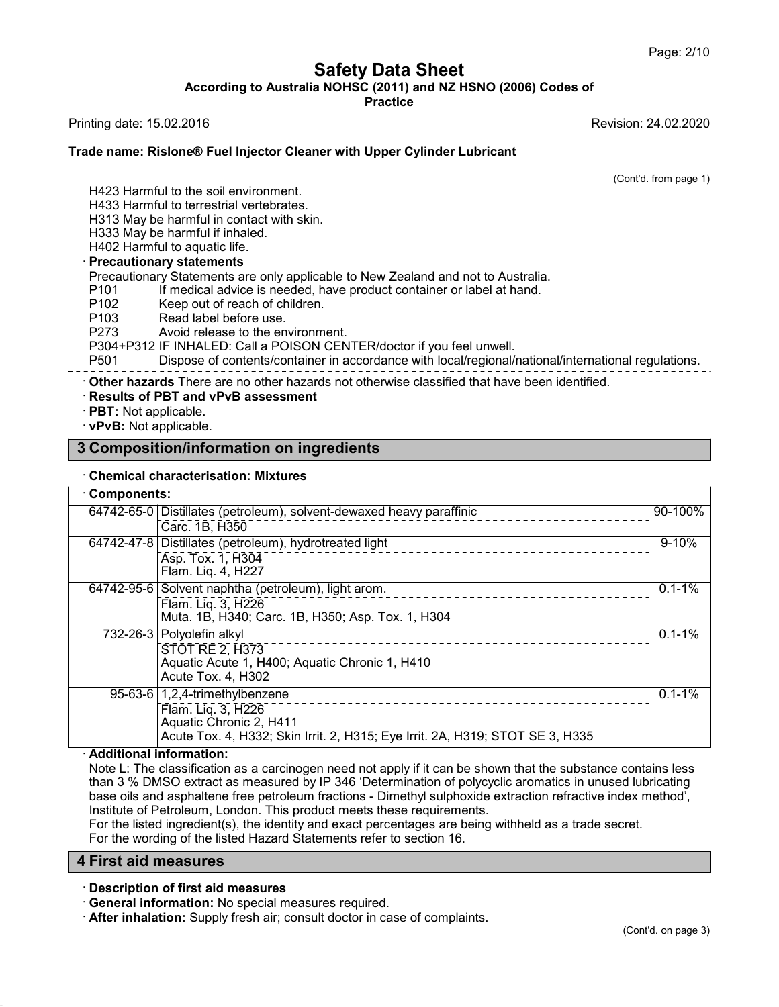**Safety Data Sheet<br>
A NOHSC (2011) and NZ HSNO (2006) Cod<br>
Practice** Page: 2/10<br>**According to Australia NOHSC (2011) and NZ HSNO (2006) Codes of**<br>Practice<br>Revision: 24.02.2020 Page: 2/10<br> **Safety Data Sheet**<br>
According to Australia NOHSC (2011) and NZ HSNO (2006) Codes of<br>
Printing date: 15.02.2016<br>
Revision: 24.02.2020<br>
Trade name: Bislone® Fuel Injector Cleaner with Unper Cylinder Lubricant

**Practice**

### **Trade name: Rislone® Fuel Injector Cleaner with Upper Cylinder Lubricant<br>Trade name: Rislone® Fuel Injector Cleaner with Upper Cylinder Lubricant**<br>Trade name: Rislone® Fuel Injector Cleaner with Upper Cylinder Lubricant iting date: 15.02.2016<br>**de name: Rislone® Fuel Injector Cleaner**<br>H423 Harmful to the soil environment.<br>H433 Harmful to terrestrial vertebrates.<br>H313 May be barmful in contact with skin de name: Rislone® Fuel Injector Cleaner wi<br>H423 Harmful to the soil environment.<br>H433 Harmful to terrestrial vertebrates.<br>H313 May be harmful in contact with skin.<br>H333 May be harmful if inhaled de name: Rislone® Fuel Injector Cleaner with Upper<br>H423 Harmful to the soil environment.<br>H433 Harmful to terrestrial vertebrates.<br>H313 May be harmful in contact with skin.<br>H333 May be harmful if inhaled.<br>H402 Harmful to aq

ision: 24.02.2020<br>(Cont'd. from page 1)

H423 Harmiul to the soli environment<br>
H433 Harmful to terrestrial vertebrate<br>
H313 May be harmful in contact with<br>
H333 May be harmful if inhaled.<br>
H402 Harmful to aquatic life.<br> **Precautionary statements**<br>
Precautionary S

H423 Harmful to the soil environment.<br>H433 Harmful to terrestrial vertebrates.<br>H313 May be harmful in contact with skin.<br>H333 May be harmful if inhaled.<br>H402 Harmful to aquatic life.<br>Precautionary statements H423 Harmful to the soil environment.<br>H433 Harmful to terrestrial vertebrates.<br>H313 May be harmful in contact with skin.<br>H333 May be harmful if inhaled.<br>H402 Harmful to aquatic life.<br>**Precautionary statements** 

H433 Harmful to terrestrial vertebrates.<br>H313 May be harmful in contact with skin.<br>H333 May be harmful if inhaled.<br>H402 Harmful to aquatic life.<br>**Precautionary statements**<br>Precautionary Statements are only applicable to Ne H313 May be harmful in contact with skin.<br>H333 May be harmful if inhaled.<br>H402 Harmful to aquatic life.<br>**Precautionary statements**<br>Precautionary Statements are only applicable to New Zealand and not to Australia.<br>P101 If m H333 May be harmful if inhaled.<br>
H402 Harmful to aquatic life.<br> **Precautionary statements**<br>
Precautionary Statements are only applicable to New<br>
P101 If medical advice is needed, have produ<br>
P102 Keep out of reach of child H402 Harmful to aquatic life.<br> **Precautionary statements**<br>
Precautionary Statements are only applicable to N<br>
P101 If medical advice is needed, have pro<br>
P102 Keep out of reach of children.<br>
P103 Read label before use.<br>
P2 **Precautionary statements**<br>
Precautionary Statements are only applicable to Nev<br>
P101 If medical advice is needed, have produ<br>
P102 Keep out of reach of children.<br>
P103 Read label before use.<br>
P273 Avoid release to the env

P101 If medical advice is needed, have product container or label at hand.<br>
P102 Keep out of reach of children.<br>
P103 Read label before use.<br>
P273 Avoid release to the environment.<br>
P304+P312 IF INHALED: Call a POISON CENT P101 If medical advice is needed, have product container or label at hand.<br>
P102 Keep out of reach of children.<br>
P103 Read label before use.<br>
P273 Avoid release to the environment.<br>
P273 Avoid release to the environment.<br>

From Bispose of contents/container in accordance with New York Composition Supplicable.<br> **3 Composition/information on ingredients**<br> **3 Composition/information on ingredients**<br> **3 Composition/information on ingredients** 

# **PB04+P312 IF INHALED: Call<br>P501 Dispose of conter<br>
- Other hazards There are no c<br>
Results of PBT and vPvB as<br>
PBT: Not applicable.<br>
vPvB: Not applicable.<br>
Composition/informatic**

| <b>Chemical characterisation: Mixtures</b> |                                                                                                                                                                      |            |  |  |
|--------------------------------------------|----------------------------------------------------------------------------------------------------------------------------------------------------------------------|------------|--|--|
| Components:                                |                                                                                                                                                                      |            |  |  |
|                                            | 64742-65-0 Distillates (petroleum), solvent-dewaxed heavy paraffinic<br>Carc. 1B, H350                                                                               | 90-100%    |  |  |
|                                            | 64742-47-8 Distillates (petroleum), hydrotreated light<br>Asp. Tox. 1, H304<br>Flam. Lig. 4, H227                                                                    | $9 - 10%$  |  |  |
|                                            | 64742-95-6 Solvent naphtha (petroleum), light arom.<br>Flam. Liq. 3, H226<br>Muta. 1B, H340; Carc. 1B, H350; Asp. Tox. 1, H304                                       | $0.1 - 1%$ |  |  |
|                                            | 732-26-3 Polyolefin alkyl<br>____________________<br><b>STOT RE 2, H373</b><br>Aquatic Acute 1, H400; Aquatic Chronic 1, H410<br>Acute Tox. 4, H302                  | $0.1 - 1%$ |  |  |
|                                            | 95-63-6 $ 1,2,4$ -trimethylbenzene<br>Flam. Liq. 3, H226<br>Aquatic Chronic 2, H411<br>Acute Tox. 4, H332; Skin Irrit. 2, H315; Eye Irrit. 2A, H319; STOT SE 3, H335 | $0.1 - 1%$ |  |  |

Aquatic Chronic 2, H411<br>Acute Tox. 4, H332; Skin Irrit. 2, H315; Eye Irrit. 2A, H319; STOT SE 3, H335<br>Additional information:<br>Note L: The classification as a carcinogen need not apply if it can be shown that the substance Additional information:<br>
Note L: The classification as a carcinogen need not apply if it can be shown than 3 % DMSO extract as measured by IP 346 'Determination of polycyclic base oils and asphaltene free petroleum fractio Additional information:<br>Note L: The classification as a carcinogen need not apply if it can be shown that the substance contains less<br>than 3 % DMSO extract as measured by IP 346 'Determination of polycyclic aromatics in un Note L: The classification as a carcinogen need not apply if it can be shown that the<br>than 3 % DMSO extract as measured by IP 346 'Determination of polycyclic aromat<br>base oils and asphaltene free petroleum fractions - Dime than 3 % DMSO extract as measure<br>base oils and asphaltene free petro<br>Institute of Petroleum, London. This<br>For the listed ingredient(s), the iden<br>For the wording of the listed Hazarc<br>**4 First aid measures**<br>Description of fi

Institute of Petroleum, London. This product meets these requirements.<br>
For the listed ingredient(s), the identity and exact percentages are being withheld as a trade secret.<br>
For the wording of the listed Hazard Statement **For the wording of the listed Hazard Statements refer to section 16.**<br> **First aid measures**<br> **Conscription of first aid measures**<br> **Conscription of first aid measures**<br> **Conscription of first aid measures**<br> **Consult docto** 

42.0.8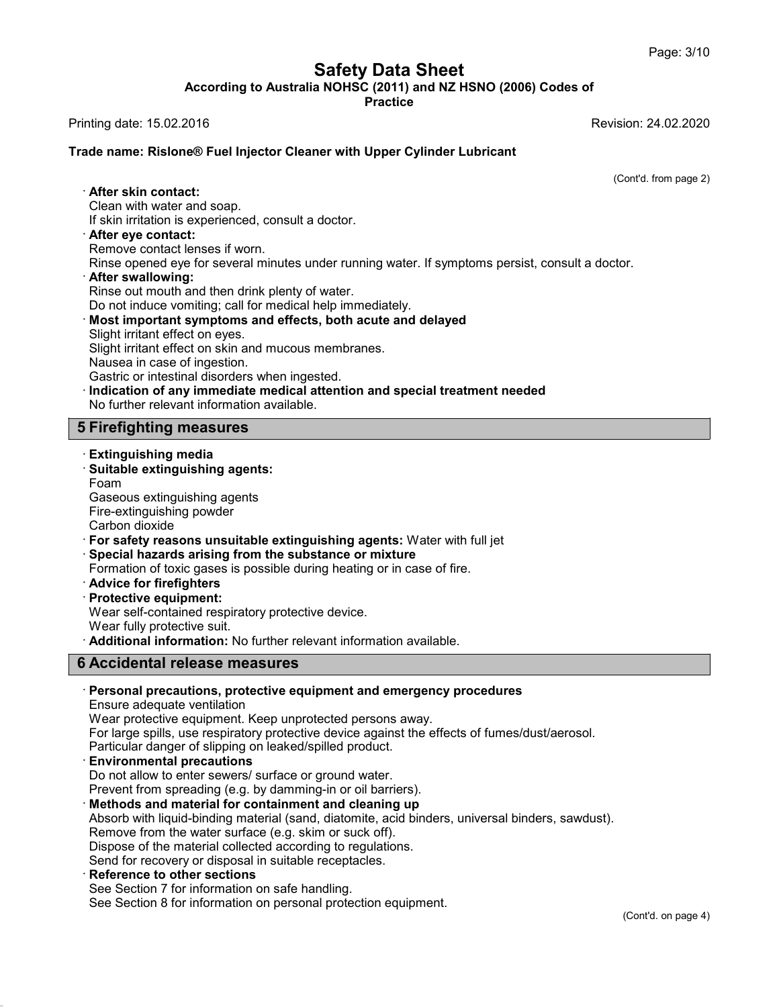**Safety Data Sheet<br>
A NOHSC (2011) and NZ HSNO (2006) Cod<br>
Practice** Page: 3/10<br>**According to Australia NOHSC (2011) and NZ HSNO (2006) Codes of**<br>Practice<br>Revision: 24.02.2020 Page: 3/10<br> **Safety Data Sheet**<br>
According to Australia NOHSC (2011) and NZ HSNO (2006) Codes of<br>
Printing date: 15.02.2016<br>
Revision: 24.02.2020<br>
Trade name: Bislone® Fuel Injector Cleaner with Unper Cylinder Lubricant

**Practice**

### **Trade name: Rislone® Fuel Injector Cleaner with Upper Cylinder Lubricant<br>Trade name: Rislone® Fuel Injector Cleaner with Upper Cylinder Lubricant**<br>Trade name: Rislone® Fuel Injector Cleaner with Upper Cylinder Lubricant inting date: 15.02.2016<br>**ade name: Rislone® Fuel Inje<br>· <b>After skin contact:**<br>Clean with water and soap.<br>· If skin irritation is experienced de name: Rislone® Fuel Injector Clear<br>After skin contact:<br>Clean with water and soap.<br>If skin irritation is experienced, consult a<br>After eve contact: **Example 15 Section 2016 Consult a doctor Cleaner Schild Clean with vater and soap.**<br>
If skin irritation is experienced, consult a doctor.<br> **After eye contact:**<br>
Remove contact lenses if worn.<br>
Rinse opened eve for several

ision: 24.02.2020<br>(Cont'd. from page 2)

After skin contact:<br>Clean with water and soap.<br>If skin irritation is experienced, consult a doct<br>After eye contact:<br>Remove contact lenses if worn.<br>Rinse opened eye for several minutes under<br>After swallowing:

- 
- Refler skin contact:<br>
Clean with water and soap.<br>
If skin irritation is experienced, consult a doctor.<br> **After eye contact:**<br>
Remove contact lenses if worn.<br>
Rinse opened eye for several minutes under running water. If sym If skin irritation is experienced, consult a doctor.<br> **After eye contact:**<br>
Remove contact lenses if worn.<br>
Rinse opened eye for several minutes under running water.<br> **After swallowing:**<br>
Rinse out mouth and then drink ple
- 

- **Example 2018 After eye contact:**<br>
Rinse opened eye for several minutes under running water. If symptoms persi-<br> **After swallowing:**<br> **Rinse out mouth and then drink plenty of water.**<br>
Do not induce vomiting; call for medi Rinse opened eye for several minutes une<br> **After swallowing:**<br>
Rinse out mouth and then drink plenty of<br>
Do not induce vomiting; call for medical h<br> **Most important symptoms and effects**,<br>
Slight irritant effect on eyes.<br> After swallowing:<br>
Rinse out mouth and then drink plenty of water.<br>
Do not induce vomiting; call for medical help immediately.<br>
Most important symptoms and effects, both acute and<br>
Slight irritant effect on eyes.<br>
Slight i Rinse out mouth and then drink plenty<br>Do not induce vomiting; call for medic<br>**Most important symptoms and effe**<br>Slight irritant effect on eyes.<br>Slight irritant effect on skin and mucou<br>Nausea in case of ingestion.<br>Gastric Do not induce vomiting; call for medical help immediately.<br> **Most important symptoms and effects, both acute and delayed**<br>
Slight irritant effect on eyes.<br>
Slight irritant effect on skin and mucous membranes.<br>
Nausea in ca Slight irritant effect on eyes.<br>
Slight irritant effect on skin and mucous membranes.<br>
Nausea in case of ingestion.<br>
Gastric or intestinal disorders when ingested.<br> **Indication of any immediate medical attention and specia** Slight irritant effect on skin and mucous<br>Nausea in case of ingestion.<br>Gastric or intestinal disorders when inge<br>**Indication of any immediate medical**<br>No further relevant information available<br>**5 Firefighting measures**<br>Ext
- No further relevant information available.<br> **Single Extinguishing measures<br>
Factinguishing agents:<br>
Foam<br>
Gaseous extinguishing agents:<br>
Foam**

### **5 Firefighting measures**<br>Extinguishing media

Foam Firefighting measures<br>Extinguishing media<br>Suitable extinguishing agents:<br>Foam<br>Gaseous extinguishing agents<br>Fire-extinguishing powder<br>Carbon dioxide **Suitable extinguishing agents:**<br>Foam<br>Gaseous extinguishing agents<br>Fire-extinguishing powder<br>Carbon dioxide Gaseous extinguishing agents<br>Fire-extinguishing powder<br>Carbon dioxide<br>· For safety reasons unsuitable extinguishing agents: W<br>· Special hazards arising from the substance or mixture • **Suitable extinguishing agents:**<br>
Foam<br>
Gaseous extinguishing agents<br>
Fire-extinguishing powder<br> **For safety reasons unsuitable extinguishing agents:** Water with full jet<br>
• **Special hazards arising from the substance or** 

- Gaseous extinguishing agents<br>
Fire-extinguishing powder<br>
Carbon dioxide<br>
 **For safety reasons unsuitable extinguishing agents:** Water with full jet<br>
 **Special hazards arising from the substance or mixture**<br>
Formation of • **For safety reasons unsuitable extinguishing agents:** Water with full jet<br>
• **Special hazards arising from the substance or mixture**<br> **Formation of toxic gases is possible during heating or in case of fire.**<br>
• **Advice f**
- 
- Formation of toxic gases is possible during heating or in case of fire.<br> **Advice for firefighters**<br> **Protective equipment:**<br>
Wear self-contained respiratory protective device.<br>
Wear fully protective suit.<br> **Additional info** Special hazards arising from the substance or mixture<br>
Formation of toxic gases is possible during heating or in case of fire.<br>
Advice for firefighters<br>
Protective equipment:<br>
Wear self-contained respiratory protective dev
- 

**6 Accidental release measures** 

### Advice for firefighters<br>
Protective equipment:<br>
Wear self-contained respiratory protective device<br>
Wear fully protective suit.<br> **Additional information:** No further relevant info<br> **6 Accidental release measures**<br>
Personal · **Personal precautions, protective equipment and emergency procedures Accidental release measures**<br> **Accidental release measures**<br> **Personal precautions, protective equipment and emergency procedure Sensure adequate ventilation**<br>
Wear protective equipment. Keep unprotected persons away.<br>
Fo Accidental release measures<br>Personal precautions, protective equipment and emergency procedures<br>Ensure adequate ventilation<br>Wear protective equipment. Keep unprotected persons away.<br>For large spills, use respiratory protec **Personal precautions, protective equipment and emergency**<br>Ensure adequate ventilation<br>Wear protective equipment. Keep unprotected persons away.<br>For large spills, use respiratory protective device against the effec<br>Particu

Ensure adequate ventilation<br>Wear protective equipment. Keep unprotected persons away.<br>For large spills, use respiratory protective device against the effects<br>Particular danger of slipping on leaked/spilled product.<br>**Enviro** 

Wear protective equipment. Keep unprotected persons away.<br>
For large spills, use respiratory protective device against the effects of fume<br>
Particular danger of slipping on leaked/spilled product.<br> **Environmental precautio** Particular danger of slipping on leaked/spilled product.<br> **Environmental precautions**<br>
Do not allow to enter sewers/ surface or ground water.<br>
Prevent from spreading (e.g. by damming-in or oil barriers).<br> **Methods and mate Environmental precautions**<br>Do not allow to enter sewers/ surface or ground water.<br>Prevent from spreading (e.g. by damming-in or oil barriers).<br>**Methods and material for containment and cleaning up**<br>Absorb with liquid-bind Do not allow to enter sewers/ surface or ground water.<br>Prevent from spreading (e.g. by damming-in or oil barriers).<br>**Methods and material for containment and cleaning up**<br>Absorb with liquid-binding material (sand, diatomit Prevent from spreading (e.g. by damming-in or oil barriers).<br> **Methods and material for containment and cleaning up**<br>
Absorb with liquid-binding material (sand, diatomite, acid bir<br>
Remove from the water surface (e.g. skim

Dispose of the material collected according to regulations.

42.0.8

See Section 8 for information on personal protection equipment.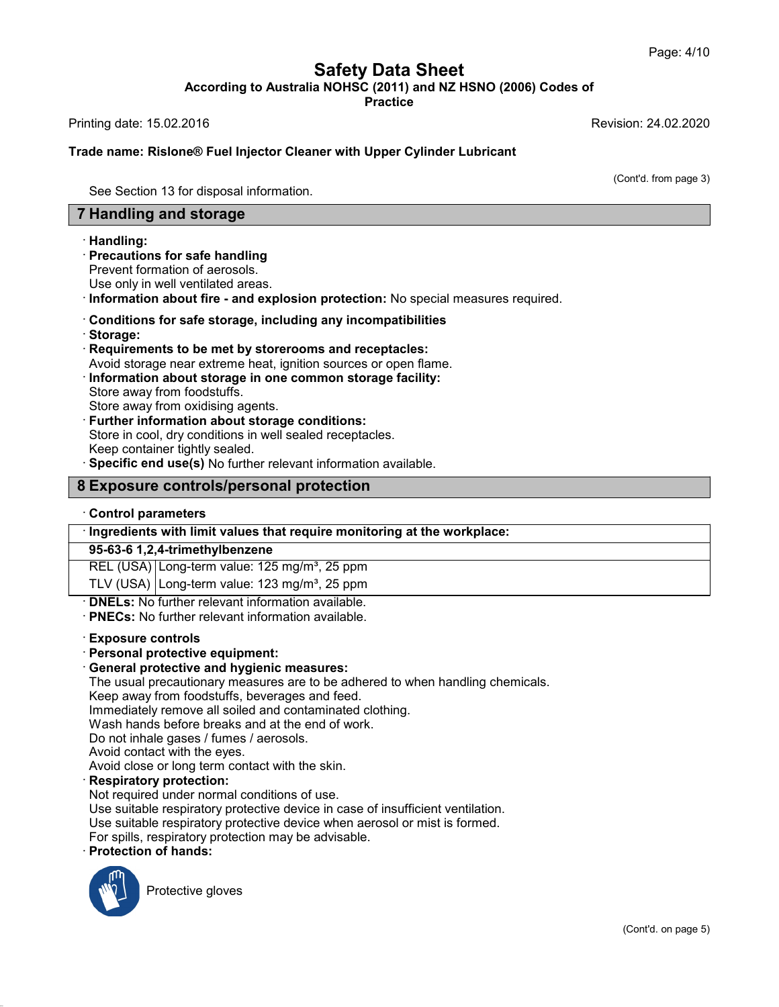**Safety Data Sheet<br>
A NOHSC (2011) and NZ HSNO (2006) Cod<br>
Practice** Page: 4/10<br>**According to Australia NOHSC (2011) and NZ HSNO (2006) Codes of**<br>Practice<br>Revision: 24.02.2020 Page: 4/10<br> **Safety Data Sheet**<br>
According to Australia NOHSC (2011) and NZ HSNO (2006) Codes of<br>
Printing date: 15.02.2016<br>
Revision: 24.02.2020<br>
Trade name: Bislone® Fuel Injector Cleaner with Unper Cylinder Lubricant

**Practice**

## **Trade name: Rislone® Fuel Injector Cleaner with Upper Cylinder Lubricant<br>Trade name: Rislone® Fuel Injector Cleaner with Upper Cylinder Lubricant**<br>Trade name: Rislone® Fuel Injector Cleaner with Upper Cylinder Lubricant iting date: 15.02.2016<br>de name: Rislone® Fuel Injector Cleaner wit<br>See Section 13 for disposal information.<br>**Handling and storage Fandling and Stockholms and Stockholms See Section 13 for disposal information.<br>
<b>7 Handling and storage**<br> **7 Handling:**<br> **Pandling:**

ision: 24.02.2020<br>(Cont'd. from page 3)

### · **Handling:**

See Section 13 for disposal information.<br> **Frecautions for safe handling**<br>
Precautions for safe handling<br>
Prevent formation of aerosols.<br>
Use only in well ventilated areas. **Handling and storage<br>
Handling:<br>
Precautions for safe handling<br>
Prevent formation of aerosols.<br>
Use only in well ventilated areas.<br>
Information about fire - and explosion** 

- **Exampling and storage**<br>
 **Handling:**<br>
 **Precautions for safe handling**<br>
 Prevent formation of aerosols.<br>
 **Use only in well ventilated areas.**<br>
 **Conditions for safe storage, including any incompatibilities**<br>
 **Sto**
- 
- 
- · **Storage:** Use only in well ventilated areas.<br> **Conditions for safe storage, including any incompatibilities**<br> **Conditions for safe storage, including any incompatibilities**<br> **Requirements to be met by storerooms and receptacles:**<br>
A
- Avoid storage near extreme heat, ignition sources or open flame.<br> **Conditions for safe storage, including any incompatibilities**<br> **Requirements to be met by storerooms and receptacles:**<br>
Avoid storage near extreme heat, ig Conditions for safe storage, inclu<br>Storage:<br>Requirements to be met by storer<br>Avoid storage near extreme heat, ig<br>Information about storage in one<br>Store away from oxidising agents.<br>Further information about storage
- Storage:<br>
Requirements to be met by storerooms and receptace<br>
Avoid storage near extreme heat, ignition sources or ope<br>
Information about storage in one common storage fa<br>
Store away from oxidising agents.<br>
Further informa Information about storage in one common storage facility:<br>Store away from foodstuffs.<br>Store away from oxidising agents.<br>Further information about storage conditions:<br>Store in cool, dry conditions in well sealed receptacles Information about storage in one common storage facility:<br>Store away from foodstuffs.<br>Store away from oxidising agents.<br>Further information about storage conditions:<br>Store in cool, dry conditions in well sealed receptacles Store away from oxidising agents.<br> **Further information about storage conditions:**<br>
Store in cool, dry conditions in well sealed receptacles.<br>
Keep container tightly sealed.<br> **8 Exposure controls/personal protection**<br>
Cont **Experiment Keep container tightly sealed.**<br> **Control specific end use(s)** No furthers<br> **Control parameters**<br> **Control parameters**<br> **Control parameters**

# **Exposure controls/personal prot<br>
Control parameters<br>
Ingredients with limit values that requir<br>
95-63-6 1,2,4-trimethylbenzene<br>
REL (USA) Long-term value: 125 mg/m<sup>3</sup>,**

• Specific end use(s) No further relevant information available.<br> **BEXPOSURE CONTROLS/PERSONAL protection**<br>
• Control parameters<br>
• Ingredients with limit values that require monitoring at the workplace:<br>
• 95-63-6 1,2,4-t Control parameters<br>
Ingredients with limit values that require monitoring at the v<br>
95-63-6 1,2,4-trimethylbenzene<br>
REL (USA) Long-term value: 125 mg/m<sup>3</sup>, 25 ppm<br>
TLV (USA) Long-term value: 123 mg/m<sup>3</sup>, 25 ppm Control parameters<br>
Ingredients with limit values that require monitoring at the v<br>
95-63-6 1,2,4-trimethylbenzene<br>
REL (USA) Long-term value: 125 mg/m<sup>3</sup>, 25 ppm<br>
TLV (USA) Long-term value: 123 mg/m<sup>3</sup>, 25 ppm<br> **DNELs:**

• **Ingredients with limit values that require monitoring at**<br> **95-63-6 1,2,4-trimethylbenzene**<br>
REL (USA) Long-term value: 125 mg/m<sup>3</sup>, 25 ppm<br>
TLV (USA) Long-term value: 123 mg/m<sup>3</sup>, 25 ppm<br>
• **DNELs:** No further relevant TLV (USA) Long-term value: 123 mg/m<sup>3</sup>, 25 ppm<br> **· DNELs:** No further relevant information available.<br> **· PNECs:** No further relevant information available.<br> **· Exposure controls**<br> **· Personal protective equipment:**<br>
· Gen

• **DNELs:** No further relevant information available.<br>• **PNECs:** No further relevant information available.<br>• **Exposure controls**<br>• **Personal protective equipment:**<br>• **General protective and hygienic measures:**<br>• The usual **PNECs:** No further relevant information available.<br> **Exposure controls**<br> **Personal protective equipment:**<br> **General protective and hygienic measures:**<br>
The usual precautionary measures are to be adhered to when handling c Exposure controls<br>
Personal protective equipment:<br>
General protective and hygienic measures:<br>
The usual precautionary measures are to be adhered to when<br>
Keep away from foodstuffs, beverages and feed.<br>
Immediately remove a Exposure controls<br>
Personal protective equipment:<br>
General protective and hygienic measures:<br>
The usual precautionary measures are to be adhered to when handl<br>
Keep away from foodstuffs, beverages and feed.<br>
Immediately re **Personal protective equipment:**<br> **General protective and hygienic measures:**<br>
The usual precautionary measures are to be adhered to when ha<br>
Keep away from foodstuffs, beverages and feed.<br>
Immediately remove all soiled an **General protective and hygienic measures:**<br>The usual precautionary measures are to be adh<br>Keep away from foodstuffs, beverages and feed.<br>Immediately remove all soiled and contaminated<br>Wash hands before breaks and at the e

Keep away from foodstuffs, beverages and feed.<br>Immediately remove all soiled and contaminated clothing.<br>Wash hands before breaks and at the end of work.<br>Do not inhale gases / fumes / aerosols.<br>Avoid contact with the eyes.<br> Keep away from foodstuffs, beverages and feed.<br>
Immediately remove all soiled and contaminated clothing.<br>
Wash hands before breaks and at the end of work.<br>
Do not inhale gases / fumes / aerosols.<br>
Avoid contact with the ey

Not required under normal conditions of use.<br>Use suitable respiratory protective device in case of insufficient ventilation. Do not inhale gases / fumes / aerosols.<br>Avoid contact with the eyes.<br>Avoid close or long term contact with the skin.<br>**Respiratory protection:**<br>Not required under normal conditions of use.<br>Use suitable respiratory protectiv Avoid contact with the eyes.<br>Avoid close or long term contact with the skin.<br>**Respiratory protection:**<br>Not required under normal conditions of use.<br>Use suitable respiratory protective device in case of insufficient ventila

Avoid close or long term contact with the skin.<br> **Respiratory protection:**<br>
Not required under normal conditions of use.<br>
Use suitable respiratory protective device in case of insuffic<br>
Use suitable respiratory protective **Protective devictive devictive devictive devictive devictive protection may be not hands:**<br>Protective gloves



42.0.8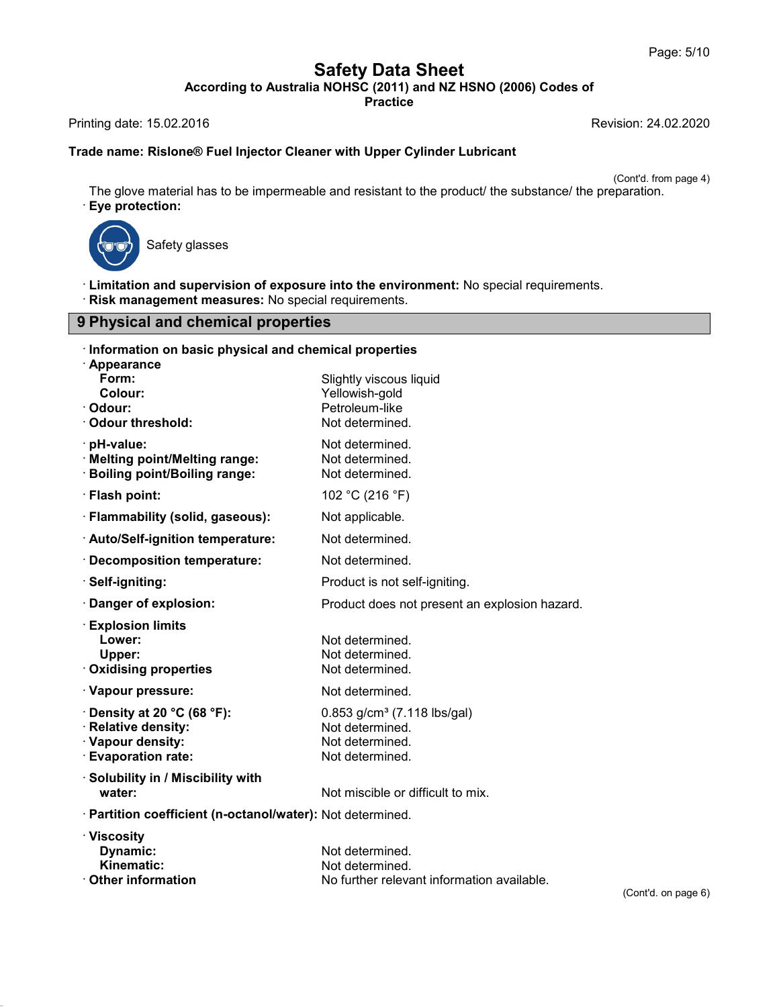**Safety Data Sheet**<br> **According to Australia NOHSC (2011) and NZ HSNO (2006) Codes of**<br>
Practice Page: 5/10<br> **Safety Data Sheet**<br>
According to Australia NOHSC (2011) and NZ HSNO (2006) Codes of<br>
Printing date: 15.02.2016<br>
Revision: 24.02.2020<br>
Trade name: Bislone® Fuel Injector Cleaner with Unper Cylinder Lubricant

**Practice**

# **Trade name: Rislone® Fuel Injector Cleaner with Upper Cylinder Lubricant**<br>Trade name: Rislone® Fuel Injector Cleaner with Upper Cylinder Lubricant

ision: 24.02.2020<br>(Cont'd. from page 4)<br>paration. The glove material has to be impermeable and resistant to the product/ the substance/ the preparation.<br>
The glove material has to be impermeable and resistant to the product/ the substance/ the preparation.<br>
• **Eye protect** material has to be impern<br>**ction:**<br>Safety glasses



42.0.8

**Example 2018**<br>
Safety glasses<br> **Exploreship Safety glasses**<br> **Physical and supervision of exposure into the environment:** No special requirements.<br> **Physical and chemical properties 9 Physical and chemical properties<br>
9 Physical and chemical properties**<br>
9 Physical and chemical properties

| · Risk management measures: No special requirements.                                                             | Elmitation and supervision of exposure into the environment: No special requirements.              |                     |  |  |  |
|------------------------------------------------------------------------------------------------------------------|----------------------------------------------------------------------------------------------------|---------------------|--|--|--|
| 9 Physical and chemical properties                                                                               |                                                                                                    |                     |  |  |  |
| Information on basic physical and chemical properties<br>· Appearance                                            |                                                                                                    |                     |  |  |  |
| Form:<br>Colour:<br>Odour:<br><b>Odour threshold:</b>                                                            | Slightly viscous liquid<br>Yellowish-gold<br>Petroleum-like<br>Not determined.                     |                     |  |  |  |
| · pH-value:<br><b>Melting point/Melting range:</b><br><b>Boiling point/Boiling range:</b>                        | Not determined.<br>Not determined.<br>Not determined.                                              |                     |  |  |  |
| · Flash point:                                                                                                   | 102 °C (216 °F)                                                                                    |                     |  |  |  |
| · Flammability (solid, gaseous):                                                                                 | Not applicable.                                                                                    |                     |  |  |  |
| · Auto/Self-ignition temperature:                                                                                | Not determined.                                                                                    |                     |  |  |  |
| · Decomposition temperature:                                                                                     | Not determined.                                                                                    |                     |  |  |  |
| · Self-igniting:                                                                                                 | Product is not self-igniting.                                                                      |                     |  |  |  |
| · Danger of explosion:                                                                                           | Product does not present an explosion hazard.                                                      |                     |  |  |  |
| <b>Explosion limits</b><br>Lower:<br>Upper:<br><b>Oxidising properties</b>                                       | Not determined.<br>Not determined.<br>Not determined.                                              |                     |  |  |  |
| · Vapour pressure:                                                                                               | Not determined.                                                                                    |                     |  |  |  |
| Density at 20 $^{\circ}$ C (68 $^{\circ}$ F):<br>· Relative density:<br>· Vapour density:<br>· Evaporation rate: | $0.853$ g/cm <sup>3</sup> (7.118 lbs/gal)<br>Not determined.<br>Not determined.<br>Not determined. |                     |  |  |  |
| · Solubility in / Miscibility with<br>water:                                                                     | Not miscible or difficult to mix.                                                                  |                     |  |  |  |
| · Partition coefficient (n-octanol/water): Not determined.                                                       |                                                                                                    |                     |  |  |  |
| · Viscosity<br>Dynamic:<br>Kinematic:<br><b>⋅ Other information</b>                                              | Not determined.<br>Not determined.<br>No further relevant information available.                   | (Cont'd. on page 6) |  |  |  |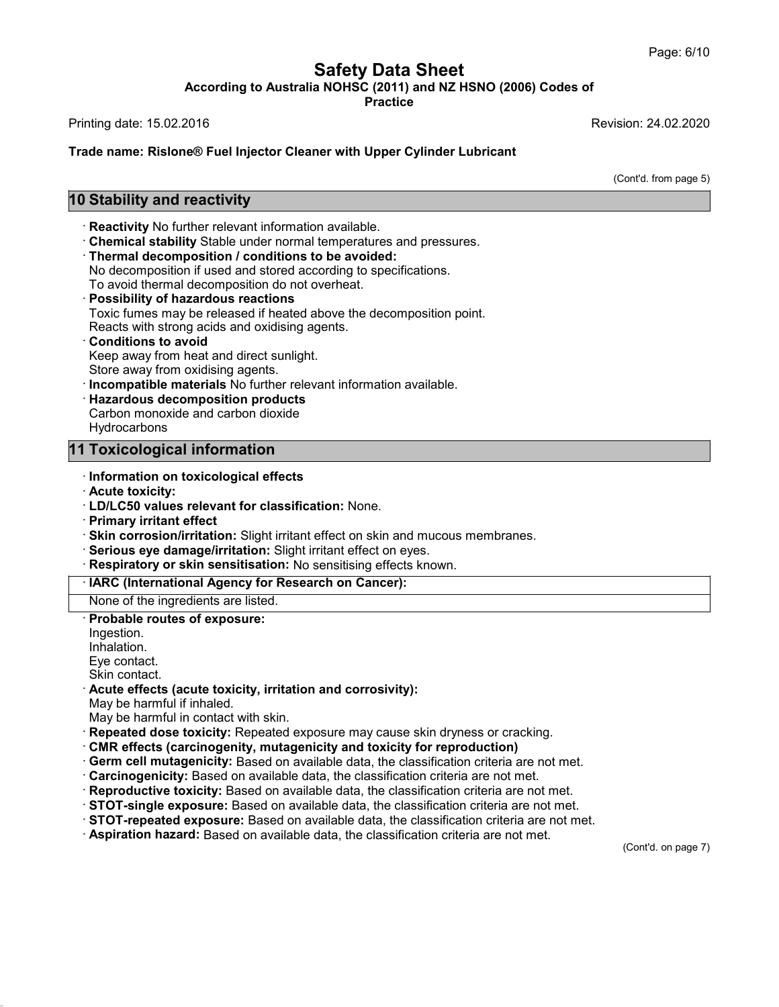## **Safety Data Sheet<br>
A NOHSC (2011) and NZ HSNO (2006) Cod<br>
Practice** Page: 6/10<br>**According to Australia NOHSC (2011) and NZ HSNO (2006) Codes of**<br>Practice<br>Revision: 24.02.2020 Page: 6/10<br> **Safety Data Sheet**<br>
According to Australia NOHSC (2011) and NZ HSNO (2006) Codes of<br>
Printing date: 15.02.2016<br>
Revision: 24.02.2020<br>
Trade name: Bislone® Fuel Injector Cleaner with Unper Cylinder Lubricant

**Practice**

**Trade name: Rislone® Fuel Injector Cleaner with Upper Cylinder Lubricant<br>Trade name: Rislone® Fuel Injector Cleaner with Upper Cylinder Lubricant**<br>Trade name: Rislone® Fuel Injector Cleaner with Upper Cylinder Lubricant Printing date: 15.02.2016<br>**10 Stability and reactivity<br><b>10 Stability and reactivity**<br>Reactivity No further relevant information

ision: 24.02.2020<br>(Cont'd. from page 5)

- 
- 
- 

**Conditionary: Reactivity**<br> **Conditionary: Reactivity**<br> **Reactivity** No further relevant information available.<br> **Chemical stability** Stable under normal temperatures and pressures.<br> **Thermal decomposition / conditions 10 Stability and reactivity**<br>
Reactivity No further relevant information available.<br>
Chemical stability Stable under normal temperatures and pressures.<br>
Thermal decomposition / conditions to be avoided:<br>
No decomposition

- 
- **Reactivity** No further relevant information available.<br> **Chemical stability** Stable under normal temperatures and<br> **Thermal decomposition / conditions to be avoided:**<br>
No decomposition if used and stored according to spec Chemical stability Stable under normal temperatures and pressures.<br>Thermal decomposition / conditions to be avoided:<br>No decomposition if used and stored according to specifications.<br>To avoid thermal decomposition do not ov Thermal decomposition / conditions to be avoided:<br>No decomposition if used and stored according to specific<br>To avoid thermal decomposition do not overheat.<br>Possibility of hazardous reactions<br>Toxic fumes may be released if To avoid thermal decomposition do not overheat.<br>**Possibility of hazardous reactions**<br>Toxic fumes may be released if heated above the d<br>Reacts with strong acids and oxidising agents.<br>**Conditions to avoid**<br>Keep away from hea **Possibility of hazardous reactions**<br>
Toxic fumes may be released if heated above the decomposition point.<br>
Reacts with strong acids and oxidising agents.<br> **Conditions to avoid**<br>
Keep away from heat and direct sunlight.<br>
S
- 
- 
- 
- **Conditions to avoid<br>
Keep away from heat and direct sunlight.<br>
Store away from oxidising agents.<br>
<b>Consigneright materials No further relevant information available.**<br> **Carbon monoxide and carbon dioxide**
- Store away from oxidising agents.<br> **11 Incompatible materials** No further relevant in<br> **11 Toxicological information**<br> **11 Toxicological information**<br> **11 Toxicological information**

**Hydrocarbons** 

## **11 Toxicological information**<br>Information on toxicological eff<br>Acute toxicity:<br>LD/LC50 values relevant for cla<br>Primary irritant effect

- 
- 
- · **Information on toxicological effects**
- 
- · **Skin corrosion/irritation:** Slight irritant effect on skin and mucous membranes.<br>· **Serious eye damage/irritation:** Slight irritant effect on eyes. Information on toxicological effects<br>
Information on toxicological effects<br>
ID/LC50 values relevant for classification: None.<br>
Primary irritant effect<br>
Skin corrosion/irritation: Slight irritant effect on skin and mucous m
- 
- Respiratory or skin sensitisation: No sensitising effects known.<br><u>· IARC (International Agency for Research on Cancer):</u><br>None of the ingredients are listed.<br>· Probable routes of exposure:

None of the ingredients are listed.<br> **Probable routes of exposure:**<br>
Ingestion.<br>
Inhalation.<br>
Eye contact.<br>
Skin contact.

Ingestion. Inhalation.

42.0.8

None of the ingredients are listed.<br> **Probable routes of exposure:**<br>
Inpestion.<br>
Eye contact.<br>
Skin contact.<br> **Acute effects (acute toxicity, irritation and corrosivity):**<br>
May be harmful if inhaled.<br>
May be harmful in con

- 
- **Acute effects (acute toxicity, irritation and corrosivity):**<br>May be harmful if inhaled.<br>May be harmful in contact with skin.<br>**Repeated dose toxicity:** Repeated exposure may cause skin dryness or cracking.
- 
- Inhalation.<br>
Eye contact.<br>
Skin contact.<br> **Acute effects (acute toxicity, irritation and corrosivity):**<br>
May be harmful in contact with skin.<br> **Repeated dose toxicity:** Repeated exposure may cause skin dryness or cracking.
- 
- 
- 
- Acute effects (acute toxicity, irritation and corrosivity):<br>
May be harmful if inhaled.<br>
May be harmful in contact with skin.<br>
Repeated dose toxicity: Repeated exposure may cause skin dryness or cracking.<br>
CRIR effects (ca

(Cont'd. on page 7)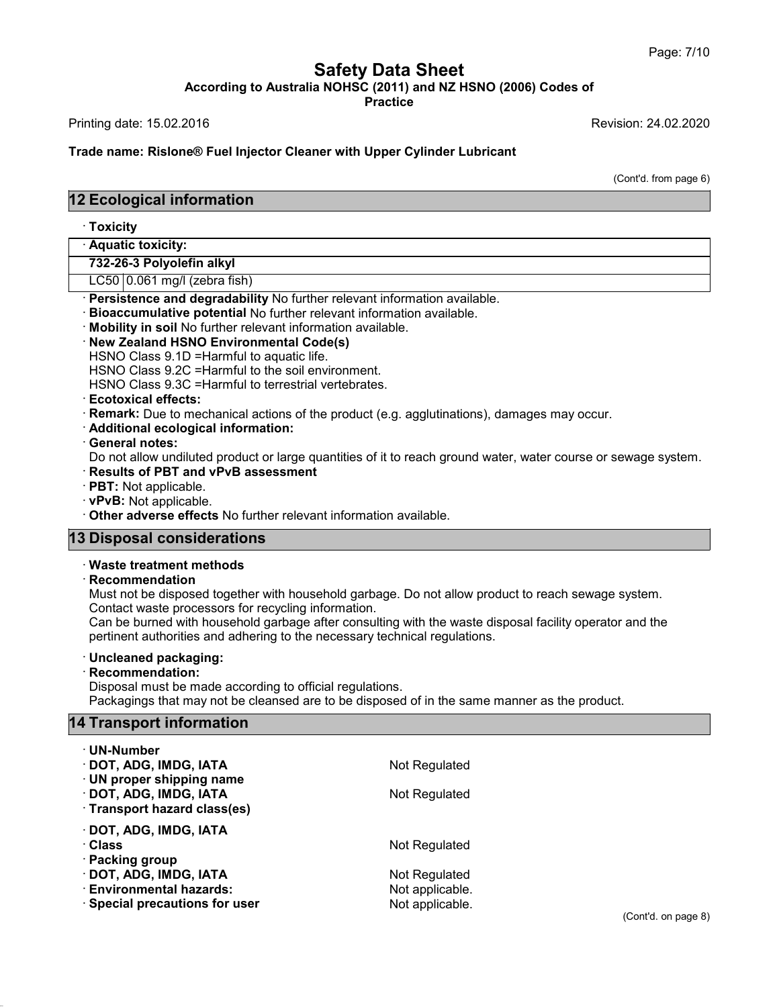**Safety Data Sheet<br>
A NOHSC (2011) and NZ HSNO (2006) Cod<br>
Practice** Page: 7/10<br>**According to Australia NOHSC (2011) and NZ HSNO (2006) Codes of**<br>Practice<br>Revision: 24.02.2020 Page: 7/10<br> **Safety Data Sheet**<br>
According to Australia NOHSC (2011) and NZ HSNO (2006) Codes of<br>
Printing date: 15.02.2016<br>
Revision: 24.02.2020<br>
Trade name: Bislone® Fuel Injector Cleaner with Unper Cylinder Lubricant

**Practice**

**Trade name: Rislone® Fuel Injector Cleaner with Upper Cylinder Lubricant<br>Trade name: Rislone® Fuel Injector Cleaner with Upper Cylinder Lubricant**<br>Trade name: Rislone® Fuel Injector Cleaner with Upper Cylinder Lubricant Printing date: 15.02.2016<br>**Trade name: Rislone® Fuel Injector Cleane**<br>**12 Ecological information**<br>Toxicity

ision: 24.02.2020<br>(Cont'd. from page 6)

## **Ecological informatio**<br>- Toxicity<br>- Aquatic toxicity:<br>- 732-26-3 Polyolefin alkyl **Ecological information<br>Toxicity<br>Aquatic toxicity:<br>732-26-3 Polyolefin alkyl<br>LC50 | 0.061 mg/l (zebra fish)**

### · **Toxicity**

Market Corner (2015)<br>1922-26-3 Polyolefin alkyl<br>2050 O.061 mg/l (zebra fish)<br>2015 Persistence and degradability No further relevant information available. · **Persistence and degradability** No further relevant information available. · **Bioaccumulative potential** No further relevant information available. · **Mobility in soil** No further relevant information available. · **New Zealand HSNO Environmental Code(s)** EC30 | 0.001 high (zebia hsh)<br> **Persistence and degradability** No further relevant inform<br> **Bioaccumulative potential** No further relevant informatio<br> **Mobility in soil No further relevant information available.**<br> **New Zea** 

Persistence and degradability No further relevant inform<br>Bioaccumulative potential No further relevant informatio<br>Mobility in soil No further relevant information available.<br>New Zealand HSNO Environmental Code(s)<br>HSNO Clas

Hobility in soil No further relevant information available.<br>
New Zealand HSNO Environmental Code(s)<br>
HSNO Class 9.1D =Harmful to aquatic life.<br>
HSNO Class 9.3C =Harmful to the soil environment.<br>
HSNO Class 9.3C =Harmful to • **New Zealand HSNO Environmental Code(s)**<br>
HSNO Class 9.1D = Harmful to aquatic life.<br>
HSNO Class 9.2C = Harmful to terrestrial vertebrates.<br>
• **Ecotoxical effects:**<br>
• **Remark:** Due to mechanical actions of the product (

• **Remark:** Due to mechanical actions of the product (e.g. agglutinations), damages may occur.<br>• **Additional ecological information:**<br>• **General notes:**<br>• Do not allow undiluted product or large quantities of it to reach g HSNO Class 9.3C =Harmful to terrestrial vertebrates.<br> **Ecotoxical effects:**<br> **Remark:** Due to mechanical actions of the product (e.g. agglutinations), damages may occur.<br> **Additional ecological information:**<br> **Ceneral note** • **Remark:** Due to mechanical actions of the product (e.g. agglutinations), defined and **Consequential information:**<br>• **General notes:**<br>• **Do not allow undiluted product or large quantities of it to reach ground wat**<br>• **Re** 

- 
- 

Do not allow undiluted product or large qua<br> **13 Disposal considerations**<br> **13 Disposal considerations**<br> **13 Disposal considerations**<br> **13 Disposal considerations** • **vPvB:** Not applicable.<br>
• **Other adverse effects** No further rel<br> **B Disposal considerations**<br>
• Waste treatment methods<br>
• Recommendation<br>
• Must not be disposed together with h

### · **Recommendation**

**Disposal considerations**<br>
Waste treatment methods<br>
Recommendation<br>
Must not be disposed together with household garbage. Do not allow product to reach sewage system.<br>
Contact waste processors for recycling information.<br>
C **Disposal considerations**<br>
Waste treatment methods<br>
Recommendation<br>
Must not be disposed together with household garbage. Do<br>
Contact waste processors for recycling information.<br>
Can be burned with household garbage after **Properties and adhering to the necessary for the necessary for allow product to**<br>Contact waste processors for recycling information.<br>Can be burned with household garbage after consulting with the waste disposal<br>pertinent

**Can be disposed together with household garbage. Do not allow product to reach sewage system.**<br>Contact waste processors for recycling information.<br>Can be burned with household garbage after consulting with the waste dispo pertinent authorities and adhering to the necessary technical regulations.

42.0.8

**Recommendation:**<br>Disposal must be made according to official regulations. Partinent authorities and adhering to the necessary technical regulations.<br> **Uncleaned packaging:**<br> **Recommendation:**<br>
Disposal must be made according to official regulations.<br>
Packagings that may not be cleansed are to be pertinent authorities and adnering to the<br> **14 Transport information**<br> **14 Transport information**<br> **14 Transport information**<br> **19 Transport information**<br> **19 Transport information** Packagings that may not be cleansed are to be disposed of in the same manner as the product.<br>**14 Transport information** 

| <b>4 Transport information</b> |                 |  |  |  |
|--------------------------------|-----------------|--|--|--|
| ∙ UN-Number                    |                 |  |  |  |
| · DOT, ADG, IMDG, IATA         | Not Regulated   |  |  |  |
| · UN proper shipping name      |                 |  |  |  |
| · DOT, ADG, IMDG, IATA         | Not Regulated   |  |  |  |
| · Transport hazard class(es)   |                 |  |  |  |
| · DOT, ADG, IMDG, IATA         |                 |  |  |  |
| ∴Class                         | Not Regulated   |  |  |  |
| · Packing group                |                 |  |  |  |
| · DOT, ADG, IMDG, IATA         | Not Regulated   |  |  |  |
| · Environmental hazards:       | Not applicable. |  |  |  |
| · Special precautions for user | Not applicable. |  |  |  |
|                                |                 |  |  |  |
|                                |                 |  |  |  |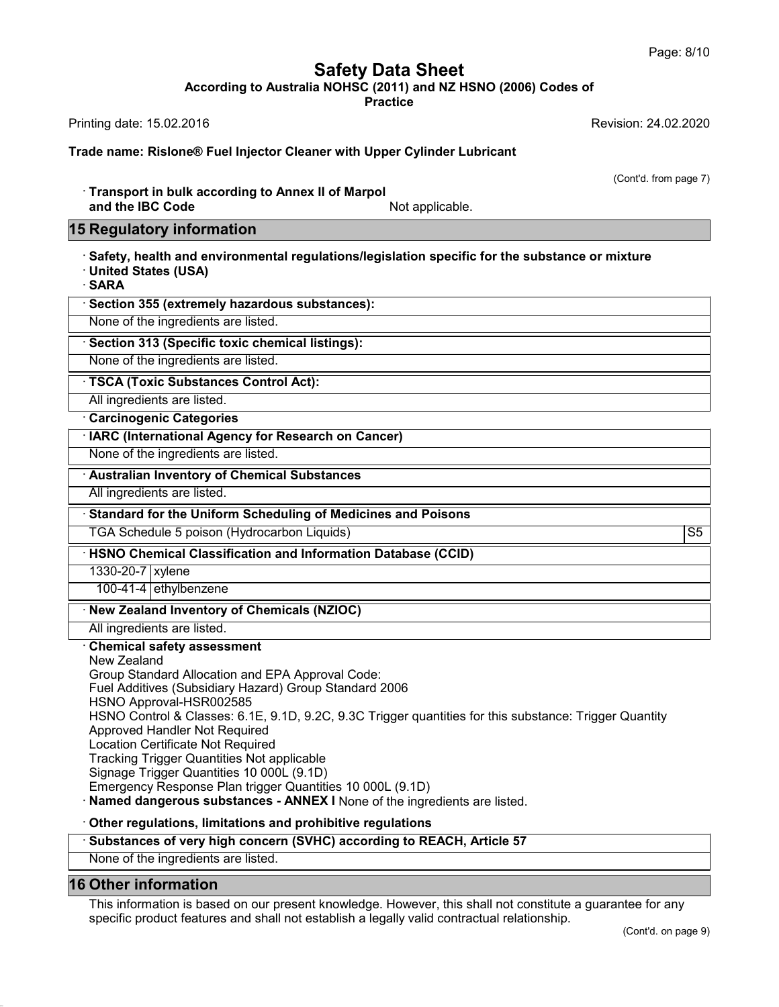**Safety Data Sheet<br>
A NOHSC (2011) and NZ HSNO (2006) Cod<br>
Practice** Page: 8/10<br>**According to Australia NOHSC (2011) and NZ HSNO (2006) Codes of**<br>Practice<br>Revision: 24.02.2020 Page: 8/10<br> **Safety Data Sheet**<br>
According to Australia NOHSC (2011) and NZ HSNO (2006) Codes of<br>
Printing date: 15.02.2016<br>
Revision: 24.02.2020<br>
Trade name: Bislone® Fuel Injector Cleaner with Unper Cylinder Lubricant

**Practice**

**Trade name: Rislone® Fuel Injector Cleaner with Upper Cylinder Lubricant<br>Trade name: Rislone® Fuel Injector Cleaner with Upper Cylinder Lubricant**<br>Trade name: Rislone® Fuel Injector Cleaner with Upper Cylinder Lubricant

ision: 24.02.2020<br>(Cont'd. from page 7)

inting date: 15.02.2016<br>**ade name: Rislone® Fuel Injector Cleaner with Upper Cylinde**<br>· Transport in bulk according to Annex II of Marpol<br>and the IBC Code Mot applica de name: Rislone® Fuel Injector Cleaner with Upper Cylinder Lubricant<br>Transport in bulk according to Annex II of Marpol<br>and the IBC Code Mot applicable.<br>Regulatory information Trade name: Rislone® Fuel Injector Cleane<br>
15 Transport in bulk according to Annex<br>
16 Regulatory information<br>
15 Regulatory information<br>
16 Safety, health and environmental regulation

· Transport in bulk according to Annex II of Marpol<br>
in Regulatory information<br> **Example 1998**<br>
Safety, health and environmental regulations/legislation specific for the substance or mixture<br>
• United States (USA)<br>
• SARA and the IBC Code<br> **Example States (USA)**<br>
For United States (USA)<br>
For SARA<br>
For States (USA)<br>
For Sarah Section 355 (oxtrapply because

| <u>18 Regulatory Information</u>                                                                                                  |  |  |
|-----------------------------------------------------------------------------------------------------------------------------------|--|--|
| Safety, health and environmental regulations/legislation specific for the substance or mixture<br>· United States (USA)<br>· SARA |  |  |
| · Section 355 (extremely hazardous substances):                                                                                   |  |  |
| None of the ingredients are listed.                                                                                               |  |  |
| · Section 313 (Specific toxic chemical listings):                                                                                 |  |  |
| None of the ingredients are listed.                                                                                               |  |  |
| · TSCA (Toxic Substances Control Act):                                                                                            |  |  |
| All ingredients are listed.                                                                                                       |  |  |
| <b>Carcinogenic Categories</b>                                                                                                    |  |  |
| · IARC (International Agency for Research on Cancer)                                                                              |  |  |
| None of the ingredients are listed.                                                                                               |  |  |
| <b>Australian Inventory of Chemical Substances</b>                                                                                |  |  |
| All ingredients are listed.                                                                                                       |  |  |
|                                                                                                                                   |  |  |

**All ingredients are listed.**<br>• **IARC (International Agency for Research on Cancer)**<br>• None of the ingredients are listed.<br>• **All ingredients are listed.**<br>• **Standard for the Uniform Scheduling of Medicines and Poisons**<br>• Standard for the Uniform Sc<br>
TGA Schedule 5 poison (Hydre<br>
HSNO Chemical Classification<br>
1330-20-7 xylene<br>
100-41-4 ethylbenzene

Mustralian Inventory of Chemical Substances<br>
All ingredients are listed.<br>
Standard for the Uniform Scheduling of Medicines and Poisons<br>
TGA Schedule 5 poison (Hydrocarbon Liquids) S5<br>
HSNO Chemical Classification and Infor All ingredients are listed.<br>
• **Standard for the Uniform Scheduling of Medicines and Poisons**<br>
TGA Schedule 5 poison (Hydrocarbon Liquids)<br>
• HSNO Chemical Classification and Information Database (CCID)<br>
1330-20-7 xylene **• HSNO Chemical Classification and Information Databas**<br>
1330-20-7 xylene<br>
100-41-4 ethylbenzene<br> **• New Zealand Inventory of Chemicals (NZIOC)**<br>
All ingredients are listed.

# Transform Schedule 5<br>
100-41-4 ethylbenzene<br>
100-41-4 ethylbenzene<br>
100-41-4 ethylbenzene<br>
100-41-4 ethylbenzene<br>
100-41-4 ethylbenzene

All ingredients are listed.<br>
The Vall ingredients are listed.<br> **Chemical safety assessment<br>
New Zealand Inventory of Chemical All ingredients are listed.**<br>
Chemical safety assessment<br>
New Zealand<br>
Group Standard Allocation 100-41-4 ethylbenzene<br>
New Zealand Inventory of Chemicals (NZIOC)<br>
All ingredients are listed.<br>
Chemical safety assessment<br>
New Zealand<br>
Group Standard Allocation and EPA Approval Code:<br>
Fuel Additives (Subsidiary Hazard) New Zealand Inventory of Chemicals (NZIOC)<br>All ingredients are listed.<br>Chemical safety assessment<br>New Zealand<br>Group Standard Allocation and EPA Approval Code:<br>Fuel Additives (Subsidiary Hazard) Group Standard 2006<br>HSNO App France Constitute Constitution of the University of Subsidiary<br>Fuel Additives (Subsidiary Hazard) Group Standard 2006<br>Fuel Additives (Subsidiary Hazard) Group Standard 2006<br>HSNO Approval-HSR002585<br>HSNO Control & Classes: 6 All ingredients are listed.<br> **Chemical safety assessment**<br>
New Zealand<br>
Group Standard Allocation and EPA A<br>
Fuel Additives (Subsidiary Hazard) Gre<br>
HSNO Approval-HSR002585<br>
HSNO Control & Classes: 6.1E, 9.1D,<br>
Approved Ha Chemical safety assessment<br>New Zealand<br>Group Standard Allocation and EPA Approval Code:<br>Fuel Additives (Subsidiary Hazard) Group Standard 2006<br>HSNO Approval-HSR002585<br>HSNO Control & Classes: 6.1E, 9.1D, 9.2C, 9.3C Trigger New Zealand<br>Group Standard Allocation and EPA Appro<br>Fuel Additives (Subsidiary Hazard) Group<br>HSNO Approval-HSR002585<br>HSNO Control & Classes: 6.1E, 9.1D, 9.2<br>Approved Handler Not Required<br>Location Certificate Not Required<br>T Group Standard Allocation and EPA Approversively Hastard Croup Standard Croup Standard Croup Standard Control & Classes: 6.1E, 9.1D, 9.2C<br>Approved Handler Not Required<br>Location Certificate Not Required<br>Location Certificate Fuel Additives (Subsidiary Hazard) Group Standard<br>HSNO Approval-HSR002585<br>HSNO Control & Classes: 6.1E, 9.1D, 9.2C, 9.3C T<br>Approved Handler Not Required<br>Location Certificate Not Required<br>Tracking Trigger Quantities Not app HSNO Approval-HSR002585<br>HSNO Control & Classes: 6.1E, 9.1D, 9.2C, 9.3C Trigg<br>Approved Handler Not Required<br>Location Certificate Not Required<br>Tracking Trigger Quantities Not applicable<br>Signage Trigger Quantities 10 000L (9. Approved Handler Not Required<br>
Location Certificate Not Required<br>
Tracking Trigger Quantities Not applicable<br>
Signage Trigger Quantities 10 000L (9.1D)<br>
Emergency Response Plan trigger Quantities 10 000L (9.1D)<br> **Named dan** Approved Handler Not Required<br>
Location Certificate Not Required<br>
Tracking Trigger Quantities 10 000L (9.1D)<br>
Signage Trigger Quantities 10 000L (9.1D)<br> **Emergency Response Plan trigger Quantities 10 000L (9.1D)**<br> **Named d** Signage Trigger Quantities 10 000L (9.1D)<br>
Emergency Response Plan trigger Quantities 10 000L (9.1D)<br> **Named dangerous substances - ANNEX I** None of the ingredients are listed.<br> **Concern regulations, limitations and prohib** 

## Substances of very high concern (SVHC) according to REACH, Article 57<br>None of the ingredients are listed.<br>16 Other information

42.0.8

**16 Other regulations, limitations and Substances of very high concern<br>
16 Other information<br>
16 Other information<br>
This information is based on our properation of the ingredients are listed.<br>
16 Other information is based** Substances of very high concern (SVHC) according to REACH, Article 57<br>
None of the ingredients are listed.<br>
Other information<br>
This information is based on our present knowledge. However, this shall not constitute a guaran Substances of very high concern (OVRO) according to REACH, Article of<br>None of the ingredients are listed.<br>This information<br>This information is based on our present knowledge. However, this shall not constitute a gual<br>speci extee for any<br>(Cont'd. on page 9)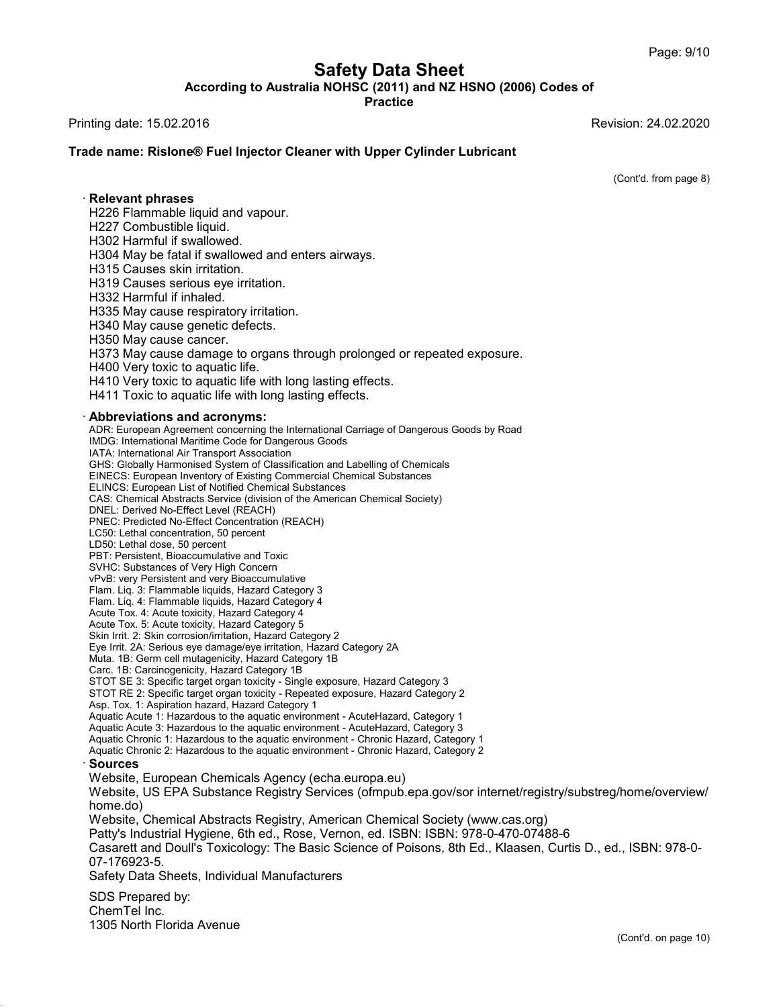**Safety Data Sheet<br>
A NOHSC (2011) and NZ HSNO (2006) Cod<br>
Practice** Page: 9/10<br>**According to Australia NOHSC (2011) and NZ HSNO (2006) Codes of**<br>Practice<br>Revision: 24.02.2020 Page: 9/10<br> **Safety Data Sheet**<br>
According to Australia NOHSC (2011) and NZ HSNO (2006) Codes of<br>
Printing date: 15.02.2016<br>
Revision: 24.02.2020<br>
Trade name: Bislone® Fuel Injector Cleaner with Unper Cylinder Lubricant

**Practice**

# **Trade name: Rislone® Fuel Injector Cleaner with Upper Cylinder Lubricant<br>Trade name: Rislone® Fuel Injector Cleaner with Upper Cylinder Lubricant**<br>Trade name: Rislone® Fuel Injector Cleaner with Upper Cylinder Lubricant

ision: 24.02.2020<br>(Cont'd. from page 8)

rang date: 19:92:2919<br> **ade name: Rislone® Fuel Inj<br>
Relevant phrases**<br>
H226 Flammable liquid and v<br>
H227 Combustible liquid. Trade name: Rislone® Fuel Injector Cleaner with Upper Cylinder Lubricant<br>· Relevant phrases<br>H226 Flammable liquid and vapour.<br>H227 Combustible liquid.<br>H302 Harmful if swallowed. de name. Kisione® Puer injector Cle<br>Relevant phrases<br>H226 Flammable liquid and vapour.<br>H227 Combustible liquid.<br>H302 Harmful if swallowed.<br>H304 May be fatal if swallowed and er **Relevant phrases**<br>H226 Flammable liquid and vapour<br>H227 Combustible liquid.<br>H302 Harmful if swallowed.<br>H304 May be fatal if swallowed and<br>H315 Causes skin irritation Relevant phrases<br>H226 Flammable liquid and vapour.<br>H227 Combustible liquid.<br>H302 Harmful if swallowed.<br>H304 May be fatal if swallowed and enters airways.<br>H315 Causes skin irritation.<br>H319 Causes serious eve irritation. Relevant phrases<br>H226 Flammable liquid and vapour.<br>H227 Combustible liquid.<br>H302 Harmful if swallowed.<br>H304 May be fatal if swallowed and er<br>H315 Causes skin irritation.<br>H319 Causes serious eye irritation.<br>H332 Harmful if H226 Flammable liquid and vapour.<br>H227 Combustible liquid.<br>H302 Harmful if swallowed.<br>H304 May be fatal if swallowed and enters air<br>H315 Causes serious eye irritation.<br>H332 Harmful if inhaled.<br>H332 Harmful if inhaled.<br>H335 H315 Causes skin irritation.<br>H319 Causes serious eye irritation.<br>H332 Harmful if inhaled.<br>H335 May cause respiratory irritation.<br>H340 May cause genetic defects. H302 Harmful if swallowed.<br>H304 May be fatal if swallowed and enters airwa<br>H315 Causes skin irritation.<br>H319 Causes serious eye irritation.<br>H332 Harmful if inhaled.<br>H335 May cause respiratory irritation.<br>H340 May cause gen H304 May be fatal if swallowed and enters a<br>H315 Causes skin irritation.<br>H319 Causes serious eye irritation.<br>H332 Harmful if inhaled.<br>H335 May cause respiratory irritation.<br>H340 May cause genetic defects.<br>H350 May cause ca H315 Causes skin irritation.<br>H319 Causes serious eye irritation.<br>H332 Harmful if inhaled.<br>H335 May cause respiratory irritatior<br>H340 May cause genetic defects.<br>H350 May cause cancer.<br>H373 May cause damage to organs<br>H400 Ve H319 Causes serious eye irritation.<br>H332 Harmful if inhaled.<br>H335 May cause respiratory irritation.<br>H340 May cause genetic defects.<br>H373 May cause damage to organs through prolonged or repeated exposure.<br>H400 Very toxic to H332 Harmful if inhaled.<br>H335 May cause respiratory irritation.<br>H340 May cause genetic defects.<br>H350 May cause cancer.<br>H373 May cause damage to organs through p<br>H400 Very toxic to aquatic life.<br>H410 Very toxic to aquatic l

H335 May cause respiratory irritation.<br>H340 May cause genetic defects.<br>H350 May cause cancer.<br>H373 May cause damage to organs through prolonged or repeate<br>H400 Very toxic to aquatic life with long lasting effects.<br>H411 Tox

H340 May cause genetic defects.<br>
H350 May cause cancer.<br>
H373 May cause damage to organs through prolonged or rep<br>
H400 Very toxic to aquatic life.<br>
H410 Very toxic to aquatic life with long lasting effects.<br> **Abbreviation** 1400 Very toxic to aquatic life with long lasting effects.<br>
H410 Very toxic to aquatic life with long lasting effects.<br> **Abbreviations and acronyms:**<br>
ADR: European Agreement concerning the International Carriage of Danger M410 Very toxic to aquatic life with long lasting effects.<br>
H411 Toxic to aquatic life with long lasting effects.<br> **Abbreviations and acronyms:**<br>
ADR: European Agreement concerning the International Carriage of I<br>
IMDG: In H411 Toxic to aquatic life with long lasting e<br> **Abbreviations and acronyms:**<br>
ADR: European Agreement concerning the Internation<br>
IMDG: International Maritime Code for Dangerous Goo<br>
IATA: International Air Transport Asso **Abbreviations and acronyms:**<br>ADR: European Agreement concerning the International Carriage of Dangerous Goods I<br>IMDG: International Maritime Code for Dangerous Goods<br>IATA: International Air Transport Association<br>GHS: Glob **ADDreVIatIONS and acronyms:**<br>ADR: European Agreement concerning the International Carriage of Dangerous Goc<br>IMDG: International Maritime Code for Dangerous Goods<br>IATA: International Air Transport Association<br>GHS: Globally ADR: European Agreement concerning the International Carriage<br>IMDG: International Maritime Code for Dangerous Goods<br>IATA: International Air Transport Association<br>GHS: Globally Harmonised System of Classification and Labell IMDG: International Maritime Code for Dangerous Goods<br>IATA: International Air Transport Association<br>GHS: Globally Harmonised System of Classification and Labelling of Chemicals<br>EINECS: European Inventory of Existing Commer IATA: International Air Transport Association<br>GHS: Globally Harmonised System of Classificatio<br>EINECS: European Inventory of Existing Commerc<br>ELINCS: European List of Notified Chemical Subst<br>CAS: Chemical Abstracts Service EINECS: European Inventory of Existing Commercial Chemical Substances<br>ELINCS: European List of Notified Chemical Substances<br>CAS: Chemical Abstracts Service (division of the American Chemical Society)<br>DNEL: Derived No-Effec ELINCS: European List of Notified Chemical Substances<br>CAS: Chemical Abstracts Service (division of the America<br>DNEL: Derived No-Effect Level (REACH)<br>PNEC: Predicted No-Effect Concentration (REACH)<br>LC50: Lethal dose, 50 per DNEL: Derived No-Effect Level (REACH)<br>PNEC: Predicted No-Effect Concentration<br>LC50: Lethal concentration, 50 percent<br>LD50: Lethal dose, 50 percent<br>PBT: Persistent, Bioaccumulative and Tox<br>SVHC: Substances of Very High Conc PNEC: Predicted No-Effect Concentration (REACH) DNEL: Derived No-Effect Level (REACH)<br>PNEC: Predicted No-Effect Concentration (REACH)<br>LC50: Lethal concentration, 50 percent<br>LD50: Lethal dose, 50 percent<br>PBT: Persistent, Bioaccumulative and Toxic<br>SVHC: Substances of Very PNEC: Predicted No-Effect Concentration (REACH)<br>LC50: Lethal concentration, 50 percent<br>LD50: Lethal dose, 50 percent<br>PBT: Persistent, Bioaccumulative and Toxic<br>SVHC: Substances of Very High Concern<br>VPvB: very Persistent an LC50: Lethal concentration, 50 percent<br>LD50: Lethal dose, 50 percent<br>PBT: Persistent, Bioaccumulative and Toxic<br>SVHC: Substances of Very High Concern<br>VPVB: very Persistent and very Bioaccumulative<br>Flam. Liq. 3: Flammable l LD50: Lethal dose, 50 percent<br>PBT: Persistent, Bioaccumulative and Toxic<br>SVHC: Substances of Very High Concern<br>vPvB: very Persistent and very Bioaccumulative<br>Flam. Liq. 4: Flammable liquids, Hazard Category 4<br>Acute Tox. 4: PBT: Persistent, Bioaccumulative and Toxic<br>SVHC: Substances of Very High Concern<br>vPvB: very Persistent and very Bioaccumulative<br>Flam. Liq. 3: Flammable liquids, Hazard Category 3<br>Flam. Liq. 4: Flammable liquids, Hazard Cat SVHC: Substances of Very High Concern<br>vPvB: very Persistent and very Bioaccumulative<br>Flam. Liq. 3: Flammable liquids, Hazard Category 3<br>Flam. Liq. 4: Flammable liquids, Hazard Category 4<br>Acute Tox. 5: Acute toxicity, Hazar Flam. Liq. 3: Flammable liquids, Hazard Category 3<br>Flam. Liq. 4: Flammable liquids, Hazard Category 4<br>Acute Tox. 4: Acute toxicity, Hazard Category 4<br>Acute Tox. 5: Acute toxicity, Hazard Category 5<br>Skin Irrit. 2: Skin corr Flam. Liq. 3: Flammable liquids, Hazard Category 3<br>Flam. Liq. 4: Flammable liquids, Hazard Category 4<br>Acute Tox. 4: Acute toxicity, Hazard Category 4<br>Acute Tox. 5: Acute toxicity, Hazard Category 5<br>Skin Irrit. 2: Skin corr Flam. Liq. 4: Flammable liquids, Hazard Category 4<br>Acute Tox. 4: Acute toxicity, Hazard Category 4<br>Acute Tox. 5: Acute toxicity, Hazard Category 5<br>Skin Irrit. 2: Skin corrosion/irritation, Hazard Category 2<br>Eye Irrit. 2A: Acute Tox. 4: Acute toxicity, Hazard Category 4<br>
Acute Tox. 5: Acute toxicity, Hazard Category 5<br>
Skin Irrit. 2: Skin corrosion/irritation, Hazard Category 2<br>
Eye Irrit. 2A: Serious eye damage/eye irritation, Hazard Catego Acute Tox. 5: Acute toxicity, Hazard Category 5<br>Skin Irrit. 2: Skin corrosion/irritation, Hazard Category 2<br>Eye Irrit. 2A: Serious eye damage/eye irritation, Hazard Category 2A<br>Muta. 1B: Germ cell mutagenicity, Hazard Cate Skin Irrit. 2: Skin corrosion/irritation, Hazard Category 2<br>
Eye Irrit. 2A: Serious eye damage/eye irritation, Hazard Category 2A<br>
Muta. 1B: Germ cell mutagenicity, Hazard Category 1B<br>
Carc. 1B: Carcinogenicity, Hazard Cat Eye Irrit. 2A: Serious eye damage/eye irritation, Hazard Category 2A<br>Muta. 1B: Germ cell mutagenicity, Hazard Category 1B<br>Carc. 1B: Carcinogenicity, Hazard Category 1B<br>STOT SE 3: Specific target organ toxicity - Single exp Muta. 1B: Germ cell mutagenicity, Hazard Category 1B<br>Carc. 1B: Carcinogenicity, Hazard Category 1B<br>STOT SE 3: Specific target organ toxicity - Single exposure, Hazard Category 2<br>STOT RE 2: Specific target organ toxicity - Carc. 1B: Carcinogenicity, Hazard Category 1B<br>STOT SE 3: Specific target organ toxicity - Single exposure, Hazard Category 3<br>STOT RE 2: Specific target organ toxicity - Repeated exposure, Hazard Category 2<br>Asp. Tox. 1: Asp STOT RE 2: Specific target organ toxicity - Repeated exposure, Hazard Category 2<br>Asp. Tox. 1: Aspiration hazard, Hazard Category 1<br>Aquatic Acute 1: Hazardous to the aquatic environment - Acute Hazard, Category 1<br>Aquatic Ch Aquatic Acute 3: Hazardous to the aquatic environment - AcuteHazard, Category 3<br>Aquatic Chronic 1: Hazardous to the aquatic environment - Chronic Hazard, Categor<br>Aquatic Chronic 2: Hazardous to the aquatic environment - Ch · **Sources** Aguatic Acute 1: Hazardous to the aguatic environment - AcuteHazard, Category 1 Aquatic Acute 1: Hazardous to the aquatic environment - AcuteHazard, Category 1<br>Aquatic Chronic 1: Hazardous to the aquatic environment - AcuteHazard, Category 3<br>Aquatic Chronic 1: Hazardous to the aquatic environment - Ch home.do) Aquatic Chronic 2: Hazardous to the aquatic environment - Chronic Hazard, Category 2<br> **Sources**<br>
Website, European Chemicals Agency (echa.europa.eu)<br>
Website, US EPA Substance Registry Services (ofmpub.epa.gov/sor internet Sources<br>Website, European Chemicals Agency (echa.europa.eu)<br>Website, US EPA Substance Registry Services (ofmpub.epa.gov/sor internet/registry/substreg/l<br>home.do)<br>Website, Chemical Abstracts Registry, American Chemical Soci Website, European Chemicals Agency (echa.europa.eu)<br>Website, US EPA Substance Registry Services (ofmpub.epa.gov/sor internet/registry/substreg/home/overview/<br>home.do)<br>Website, Chemical Abstracts Registry, American Chemical 07-176923-5. Website, Chemical Abstracts Registry, American Chemical Society (www.cas.org)<br>Patty's Industrial Hygiene, 6th ed., Rose, Vernon, ed. ISBN: ISBN: 978-0-470-0748<br>Casarett and Doull's Toxicology: The Basic Science of Poisons, Website, Orientical Abstracts Reg.<br>Patty's Industrial Hygiene, 6th ed.,<br>Casarett and Doull's Toxicology: T<br>07-176923-5.<br>Safety Data Sheets, Individual Ma<br>SDS Prepared by:<br>ChemTel Inc.<br>1305 North Elorida Avenue Casarett and Doull's Toxicology: The Basic Science of Poisons, 8th Ed., Klaasen, Curtis D., ed., ISBN: 978-0-07-176923-5.<br>07-176923-5.<br>Safety Data Sheets, Individual Manufacturers<br>SDS Prepared by:<br>ChemTel Inc.<br>1305 North F Safety Data Sheets, Individual Manufacturers

42.0.8